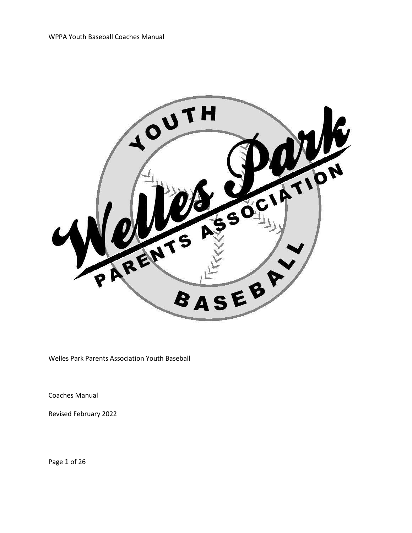

Welles Park Parents Association Youth Baseball

Coaches Manual

Revised February 2022

Page 1 of 26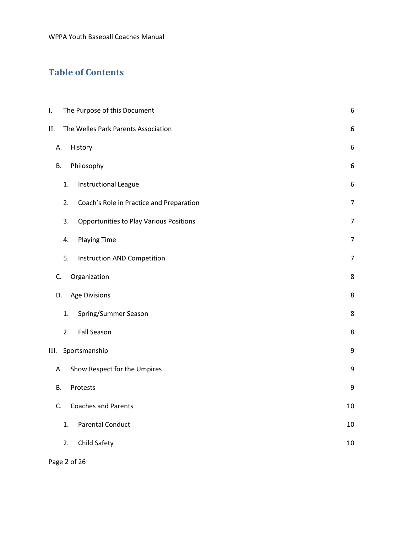# **Table of Contents**

| I.        |                    | The Purpose of this Document                   | 6                |  |  |
|-----------|--------------------|------------------------------------------------|------------------|--|--|
| II.       |                    | The Welles Park Parents Association            | $\boldsymbol{6}$ |  |  |
| А.        |                    | History                                        | 6                |  |  |
| <b>B.</b> |                    | Philosophy                                     | 6                |  |  |
|           | 1.                 | <b>Instructional League</b>                    | $\boldsymbol{6}$ |  |  |
|           | 2.                 | Coach's Role in Practice and Preparation       | $\overline{7}$   |  |  |
|           | 3.                 | <b>Opportunities to Play Various Positions</b> | $\overline{7}$   |  |  |
|           | 4.                 | <b>Playing Time</b>                            | $\overline{7}$   |  |  |
|           | 5.                 | Instruction AND Competition                    | $\overline{7}$   |  |  |
| C.        |                    | Organization                                   | 8                |  |  |
| D.        |                    | Age Divisions                                  | 8                |  |  |
|           | 1.                 | Spring/Summer Season                           | 8                |  |  |
|           | 2.                 | <b>Fall Season</b>                             | 8                |  |  |
| III.      | Sportsmanship<br>9 |                                                |                  |  |  |
| А.        |                    | Show Respect for the Umpires                   | 9                |  |  |
| В.        |                    | Protests                                       | 9                |  |  |
| C.        |                    | <b>Coaches and Parents</b>                     | 10               |  |  |
|           | 1.                 | <b>Parental Conduct</b>                        | 10               |  |  |
|           | 2.                 | Child Safety                                   | 10               |  |  |
|           |                    |                                                |                  |  |  |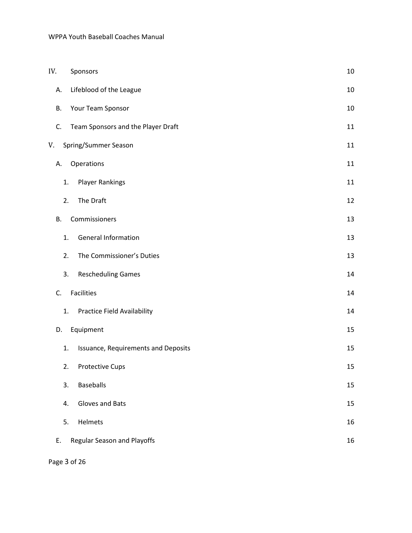#### WPPA Youth Baseball Coaches Manual

| IV.       | Sponsors                            |        |
|-----------|-------------------------------------|--------|
| А.        | Lifeblood of the League             | $10\,$ |
| В.        | Your Team Sponsor                   | 10     |
| C.        | Team Sponsors and the Player Draft  | 11     |
| V.        | Spring/Summer Season                | 11     |
| А.        | Operations                          | 11     |
| 1.        | <b>Player Rankings</b>              | 11     |
| 2.        | The Draft                           | 12     |
| <b>B.</b> | Commissioners                       | 13     |
| 1.        | <b>General Information</b>          | 13     |
| 2.        | The Commissioner's Duties           | 13     |
| 3.        | <b>Rescheduling Games</b>           | 14     |
| C.        | <b>Facilities</b>                   | 14     |
| 1.        | <b>Practice Field Availability</b>  | 14     |
| D.        | Equipment                           | 15     |
| 1.        | Issuance, Requirements and Deposits | 15     |
| 2.        | <b>Protective Cups</b>              | 15     |
| 3.        | <b>Baseballs</b>                    | 15     |
| 4.        | Gloves and Bats                     | 15     |
| 5.        | Helmets                             | 16     |
| Ε.        | Regular Season and Playoffs         | 16     |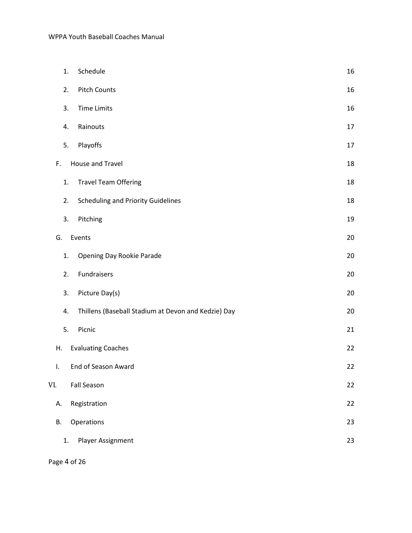|     | 1. | Schedule                                            | 16     |
|-----|----|-----------------------------------------------------|--------|
|     | 2. | <b>Pitch Counts</b>                                 | 16     |
|     | 3. | <b>Time Limits</b>                                  | 16     |
|     | 4. | Rainouts                                            | 17     |
|     | 5. | Playoffs                                            | $17\,$ |
| F.  |    | House and Travel                                    | 18     |
|     | 1. | <b>Travel Team Offering</b>                         | 18     |
|     | 2. | <b>Scheduling and Priority Guidelines</b>           | 18     |
|     | 3. | Pitching                                            | 19     |
| G.  |    | Events                                              | 20     |
|     | 1. | Opening Day Rookie Parade                           | 20     |
|     | 2. | Fundraisers                                         | 20     |
|     | 3. | Picture Day(s)                                      | 20     |
|     | 4. | Thillens (Baseball Stadium at Devon and Kedzie) Day | 20     |
|     | 5. | Picnic                                              | 21     |
| Η.  |    | <b>Evaluating Coaches</b>                           | 22     |
| L.  |    | End of Season Award                                 | 22     |
| VI. |    | <b>Fall Season</b>                                  | 22     |
| А.  |    | Registration                                        | 22     |
| В.  |    | Operations                                          | 23     |
|     | 1. | Player Assignment                                   | 23     |

Page 4 of 26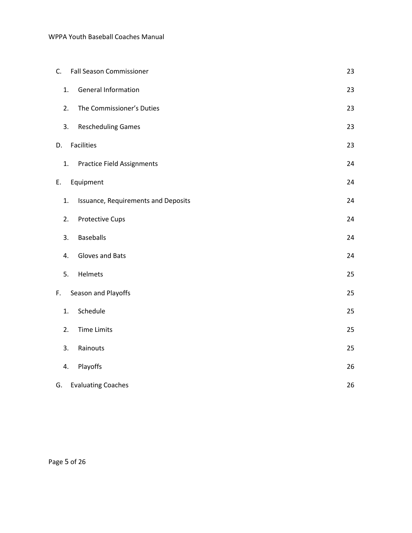#### WPPA Youth Baseball Coaches Manual

| C.                        | <b>Fall Season Commissioner</b>   |                                     | 23 |
|---------------------------|-----------------------------------|-------------------------------------|----|
| 1.                        | <b>General Information</b>        |                                     | 23 |
| 2.                        | The Commissioner's Duties         |                                     | 23 |
| 3.                        | <b>Rescheduling Games</b>         |                                     | 23 |
| Facilities<br>D.          |                                   |                                     | 23 |
| 1.                        | <b>Practice Field Assignments</b> |                                     | 24 |
| Equipment<br>Ε.           |                                   |                                     | 24 |
| 1.                        |                                   | Issuance, Requirements and Deposits | 24 |
| 2.                        | <b>Protective Cups</b>            |                                     | 24 |
| 3.                        | <b>Baseballs</b>                  |                                     | 24 |
| 4.                        | Gloves and Bats                   |                                     | 24 |
| 5.                        | Helmets                           |                                     | 25 |
| Season and Playoffs<br>F. |                                   |                                     | 25 |
| 1.                        | Schedule                          |                                     | 25 |
| 2.                        | <b>Time Limits</b>                |                                     | 25 |
| 3.                        | Rainouts                          |                                     | 25 |
| 4.                        | Playoffs                          |                                     | 26 |
| G.                        | <b>Evaluating Coaches</b>         |                                     | 26 |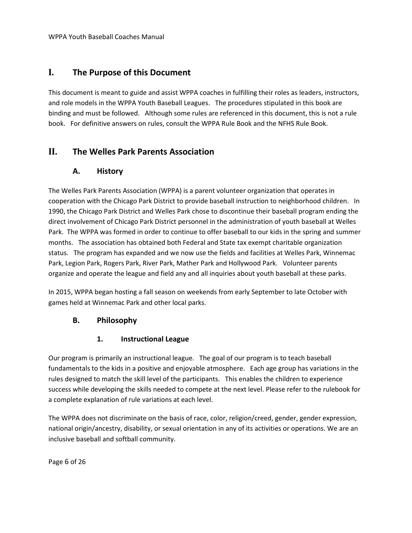# <span id="page-5-0"></span>**I. The Purpose of this Document**

This document is meant to guide and assist WPPA coaches in fulfilling their roles as leaders, instructors, and role models in the WPPA Youth Baseball Leagues. The procedures stipulated in this book are binding and must be followed. Although some rules are referenced in this document, this is not a rule book. For definitive answers on rules, consult the WPPA Rule Book and the NFHS Rule Book.

# <span id="page-5-2"></span><span id="page-5-1"></span>**II. The Welles Park Parents Association**

### **A. History**

The Welles Park Parents Association (WPPA) is a parent volunteer organization that operates in cooperation with the Chicago Park District to provide baseball instruction to neighborhood children. In 1990, the Chicago Park District and Welles Park chose to discontinue their baseball program ending the direct involvement of Chicago Park District personnel in the administration of youth baseball at Welles Park. The WPPA was formed in order to continue to offer baseball to our kids in the spring and summer months. The association has obtained both Federal and State tax exempt charitable organization status. The program has expanded and we now use the fields and facilities at Welles Park, Winnemac Park, Legion Park, Rogers Park, River Park, Mather Park and Hollywood Park. Volunteer parents organize and operate the league and field any and all inquiries about youth baseball at these parks.

In 2015, WPPA began hosting a fall season on weekends from early September to late October with games held at Winnemac Park and other local parks.

### <span id="page-5-3"></span>**B. Philosophy**

### **1. Instructional League**

<span id="page-5-4"></span>Our program is primarily an instructional league. The goal of our program is to teach baseball fundamentals to the kids in a positive and enjoyable atmosphere. Each age group has variations in the rules designed to match the skill level of the participants. This enables the children to experience success while developing the skills needed to compete at the next level. Please refer to the rulebook for a complete explanation of rule variations at each level.

The WPPA does not discriminate on the basis of race, color, religion/creed, gender, gender expression, national origin/ancestry, disability, or sexual orientation in any of its activities or operations. We are an inclusive baseball and softball community.

Page 6 of 26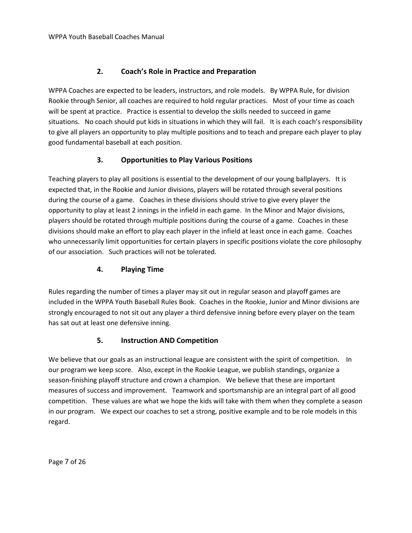### **2. Coach's Role in Practice and Preparation**

<span id="page-6-0"></span>WPPA Coaches are expected to be leaders, instructors, and role models. By WPPA Rule, for division Rookie through Senior, all coaches are required to hold regular practices. Most of your time as coach will be spent at practice. Practice is essential to develop the skills needed to succeed in game situations. No coach should put kids in situations in which they will fail. It is each coach's responsibility to give all players an opportunity to play multiple positions and to teach and prepare each player to play good fundamental baseball at each position.

### **3. Opportunities to Play Various Positions**

<span id="page-6-1"></span>Teaching players to play all positions is essential to the development of our young ballplayers. It is expected that, in the Rookie and Junior divisions, players will be rotated through several positions during the course of a game. Coaches in these divisions should strive to give every player the opportunity to play at least 2 innings in the infield in each game. In the Minor and Major divisions, players should be rotated through multiple positions during the course of a game. Coaches in these divisions should make an effort to play each player in the infield at least once in each game. Coaches who unnecessarily limit opportunities for certain players in specific positions violate the core philosophy of our association. Such practices will not be tolerated.

#### **4. Playing Time**

<span id="page-6-2"></span>Rules regarding the number of times a player may sit out in regular season and playoff games are included in the WPPA Youth Baseball Rules Book. Coaches in the Rookie, Junior and Minor divisions are strongly encouraged to not sit out any player a third defensive inning before every player on the team has sat out at least one defensive inning.

#### **5. Instruction AND Competition**

<span id="page-6-3"></span>We believe that our goals as an instructional league are consistent with the spirit of competition. In our program we keep score. Also, except in the Rookie League, we publish standings, organize a season-finishing playoff structure and crown a champion. We believe that these are important measures of success and improvement. Teamwork and sportsmanship are an integral part of all good competition. These values are what we hope the kids will take with them when they complete a season in our program. We expect our coaches to set a strong, positive example and to be role models in this regard.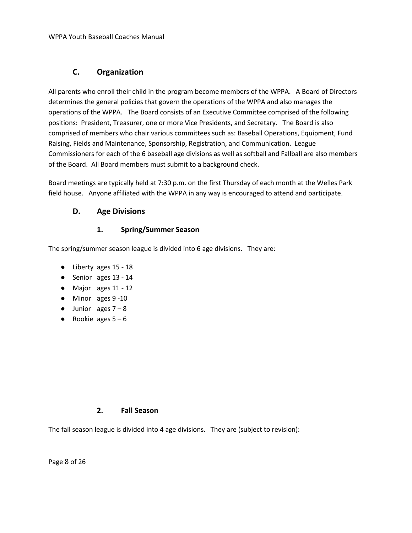# **C. Organization**

<span id="page-7-0"></span>All parents who enroll their child in the program become members of the WPPA. A Board of Directors determines the general policies that govern the operations of the WPPA and also manages the operations of the WPPA. The Board consists of an Executive Committee comprised of the following positions: President, Treasurer, one or more Vice Presidents, and Secretary. The Board is also comprised of members who chair various committees such as: Baseball Operations, Equipment, Fund Raising, Fields and Maintenance, Sponsorship, Registration, and Communication. League Commissioners for each of the 6 baseball age divisions as well as softball and Fallball are also members of the Board. All Board members must submit to a background check.

Board meetings are typically held at 7:30 p.m. on the first Thursday of each month at the Welles Park field house. Anyone affiliated with the WPPA in any way is encouraged to attend and participate.

### <span id="page-7-1"></span>**D. Age Divisions**

#### **1. Spring/Summer Season**

<span id="page-7-2"></span>The spring/summer season league is divided into 6 age divisions. They are:

- Liberty ages 15 18
- Senior ages 13 14
- Major ages 11 12
- Minor ages 9 -10
- $\bullet$  Junior ages  $7 8$
- Rookie ages  $5 6$

#### **2. Fall Season**

<span id="page-7-3"></span>The fall season league is divided into 4 age divisions. They are (subject to revision):

Page 8 of 26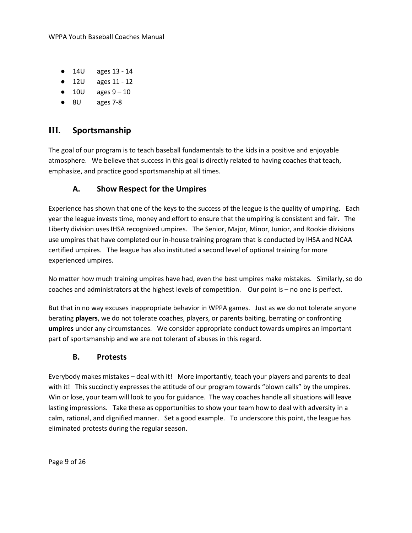- 14U ages 13 14
- 12U ages 11 12
- $\bullet$  10U ages  $9-10$
- 8U ages 7-8

# <span id="page-8-0"></span>**III. Sportsmanship**

The goal of our program is to teach baseball fundamentals to the kids in a positive and enjoyable atmosphere. We believe that success in this goal is directly related to having coaches that teach, emphasize, and practice good sportsmanship at all times.

# **A. Show Respect for the Umpires**

<span id="page-8-1"></span>Experience has shown that one of the keys to the success of the league is the quality of umpiring. Each year the league invests time, money and effort to ensure that the umpiring is consistent and fair. The Liberty division uses IHSA recognized umpires. The Senior, Major, Minor, Junior, and Rookie divisions use umpires that have completed our in-house training program that is conducted by IHSA and NCAA certified umpires. The league has also instituted a second level of optional training for more experienced umpires.

No matter how much training umpires have had, even the best umpires make mistakes. Similarly, so do coaches and administrators at the highest levels of competition. Our point is – no one is perfect.

But that in no way excuses inappropriate behavior in WPPA games. Just as we do not tolerate anyone berating **players**, we do not tolerate coaches, players, or parents baiting, berrating or confronting **umpires** under any circumstances. We consider appropriate conduct towards umpires an important part of sportsmanship and we are not tolerant of abuses in this regard.

### **B. Protests**

<span id="page-8-2"></span>Everybody makes mistakes – deal with it! More importantly, teach your players and parents to deal with it! This succinctly expresses the attitude of our program towards "blown calls" by the umpires. Win or lose, your team will look to you for guidance. The way coaches handle all situations will leave lasting impressions. Take these as opportunities to show your team how to deal with adversity in a calm, rational, and dignified manner. Set a good example. To underscore this point, the league has eliminated protests during the regular season.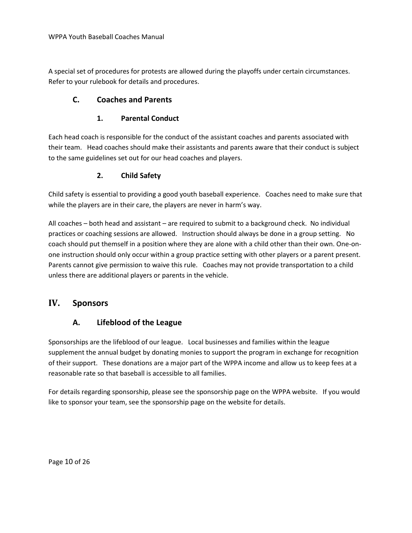A special set of procedures for protests are allowed during the playoffs under certain circumstances. Refer to your rulebook for details and procedures.

### <span id="page-9-0"></span>**C. Coaches and Parents**

#### **1. Parental Conduct**

<span id="page-9-1"></span>Each head coach is responsible for the conduct of the assistant coaches and parents associated with their team. Head coaches should make their assistants and parents aware that their conduct is subject to the same guidelines set out for our head coaches and players.

### **2. Child Safety**

<span id="page-9-2"></span>Child safety is essential to providing a good youth baseball experience. Coaches need to make sure that while the players are in their care, the players are never in harm's way.

All coaches – both head and assistant – are required to submit to a background check. No individual practices or coaching sessions are allowed. Instruction should always be done in a group setting. No coach should put themself in a position where they are alone with a child other than their own. One-onone instruction should only occur within a group practice setting with other players or a parent present. Parents cannot give permission to waive this rule. Coaches may not provide transportation to a child unless there are additional players or parents in the vehicle.

# <span id="page-9-4"></span><span id="page-9-3"></span>**IV. Sponsors**

### **A. Lifeblood of the League**

Sponsorships are the lifeblood of our league. Local businesses and families within the league supplement the annual budget by donating monies to support the program in exchange for recognition of their support. These donations are a major part of the WPPA income and allow us to keep fees at a reasonable rate so that baseball is accessible to all families.

For details regarding sponsorship, please see the sponsorship page on the WPPA website. If you would like to sponsor your team, see the sponsorship page on the website for details.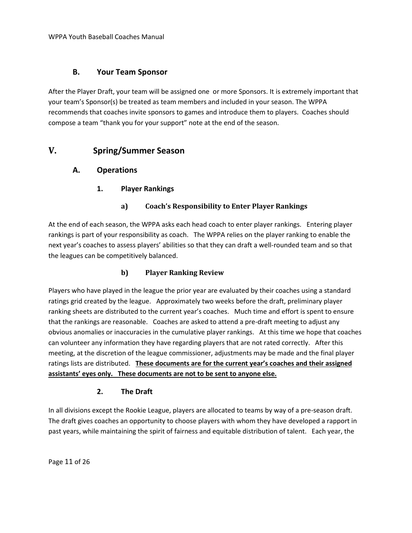#### <span id="page-10-1"></span>**B. Your Team Sponsor**

<span id="page-10-0"></span>After the Player Draft, your team will be assigned one or more Sponsors. It is extremely important that your team's Sponsor(s) be treated as team members and included in your season. The WPPA recommends that coaches invite sponsors to games and introduce them to players. Coaches should compose a team "thank you for your support" note at the end of the season.

# <span id="page-10-3"></span>**V. Spring/Summer Season**

### <span id="page-10-4"></span><span id="page-10-2"></span>**A. Operations**

**1. Player Rankings**

#### **a) Coach's Responsibility to Enter Player Rankings**

At the end of each season, the WPPA asks each head coach to enter player rankings. Entering player rankings is part of your responsibility as coach. The WPPA relies on the player ranking to enable the next year's coaches to assess players' abilities so that they can draft a well-rounded team and so that the leagues can be competitively balanced.

#### **b) Player Ranking Review**

Players who have played in the league the prior year are evaluated by their coaches using a standard ratings grid created by the league. Approximately two weeks before the draft, preliminary player ranking sheets are distributed to the current year's coaches. Much time and effort is spent to ensure that the rankings are reasonable. Coaches are asked to attend a pre-draft meeting to adjust any obvious anomalies or inaccuracies in the cumulative player rankings. At this time we hope that coaches can volunteer any information they have regarding players that are not rated correctly. After this meeting, at the discretion of the league commissioner, adjustments may be made and the final player ratings lists are distributed. **These documents are for the current year's coaches and their assigned assistants' eyes only. These documents are not to be sent to anyone else.**

#### **2. The Draft**

<span id="page-10-5"></span>In all divisions except the Rookie League, players are allocated to teams by way of a pre-season draft. The draft gives coaches an opportunity to choose players with whom they have developed a rapport in past years, while maintaining the spirit of fairness and equitable distribution of talent. Each year, the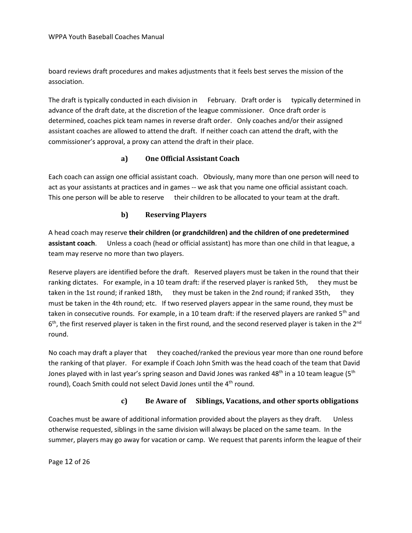board reviews draft procedures and makes adjustments that it feels best serves the mission of the association.

The draft is typically conducted in each division in February. Draft order is typically determined in advance of the draft date, at the discretion of the league commissioner. Once draft order is determined, coaches pick team names in reverse draft order. Only coaches and/or their assigned assistant coaches are allowed to attend the draft. If neither coach can attend the draft, with the commissioner's approval, a proxy can attend the draft in their place.

#### **a) One Official Assistant Coach**

Each coach can assign one official assistant coach. Obviously, many more than one person will need to act as your assistants at practices and in games -- we ask that you name one official assistant coach. This one person will be able to reserve their children to be allocated to your team at the draft.

#### **b) Reserving Players**

A head coach may reserve **their children (or grandchildren) and the children of one predetermined assistant coach**. Unless a coach (head or official assistant) has more than one child in that league, a team may reserve no more than two players.

Reserve players are identified before the draft. Reserved players must be taken in the round that their ranking dictates. For example, in a 10 team draft: if the reserved player is ranked 5th, they must be taken in the 1st round; if ranked 18th, they must be taken in the 2nd round; if ranked 35th, they must be taken in the 4th round; etc. If two reserved players appear in the same round, they must be taken in consecutive rounds. For example, in a 10 team draft: if the reserved players are ranked 5<sup>th</sup> and 6<sup>th</sup>, the first reserved player is taken in the first round, and the second reserved player is taken in the 2<sup>nd</sup> round.

No coach may draft a player that they coached/ranked the previous year more than one round before the ranking of that player. For example if Coach John Smith was the head coach of the team that David Jones played with in last year's spring season and David Jones was ranked 48<sup>th</sup> in a 10 team league (5<sup>th</sup> round), Coach Smith could not select David Jones until the 4<sup>th</sup> round.

#### **c) Be Aware of Siblings, Vacations, and other sports obligations**

Coaches must be aware of additional information provided about the players as they draft. Unless otherwise requested, siblings in the same division will always be placed on the same team. In the summer, players may go away for vacation or camp. We request that parents inform the league of their

Page 12 of 26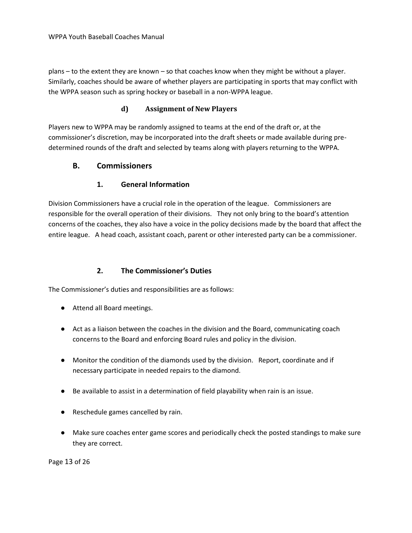plans – to the extent they are known – so that coaches know when they might be without a player. Similarly, coaches should be aware of whether players are participating in sports that may conflict with the WPPA season such as spring hockey or baseball in a non-WPPA league.

#### **d) Assignment of New Players**

Players new to WPPA may be randomly assigned to teams at the end of the draft or, at the commissioner's discretion, may be incorporated into the draft sheets or made available during predetermined rounds of the draft and selected by teams along with players returning to the WPPA.

#### <span id="page-12-0"></span>**B. Commissioners**

#### **1. General Information**

<span id="page-12-1"></span>Division Commissioners have a crucial role in the operation of the league. Commissioners are responsible for the overall operation of their divisions. They not only bring to the board's attention concerns of the coaches, they also have a voice in the policy decisions made by the board that affect the entire league. A head coach, assistant coach, parent or other interested party can be a commissioner.

#### **2. The Commissioner's Duties**

<span id="page-12-2"></span>The Commissioner's duties and responsibilities are as follows:

- Attend all Board meetings.
- Act as a liaison between the coaches in the division and the Board, communicating coach concerns to the Board and enforcing Board rules and policy in the division.
- Monitor the condition of the diamonds used by the division. Report, coordinate and if necessary participate in needed repairs to the diamond.
- Be available to assist in a determination of field playability when rain is an issue.
- Reschedule games cancelled by rain.
- Make sure coaches enter game scores and periodically check the posted standings to make sure they are correct.

Page 13 of 26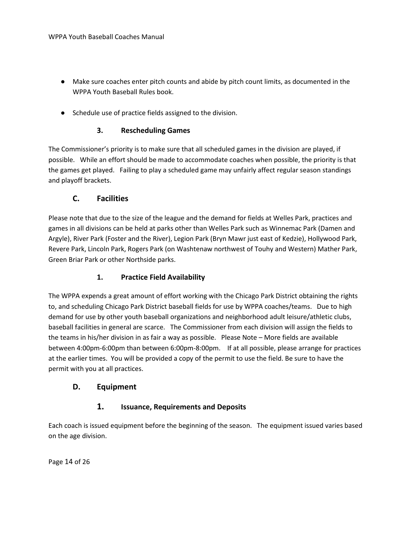- Make sure coaches enter pitch counts and abide by pitch count limits, as documented in the WPPA Youth Baseball Rules book.
- Schedule use of practice fields assigned to the division.

#### **3. Rescheduling Games**

<span id="page-13-0"></span>The Commissioner's priority is to make sure that all scheduled games in the division are played, if possible. While an effort should be made to accommodate coaches when possible, the priority is that the games get played. Failing to play a scheduled game may unfairly affect regular season standings and playoff brackets.

### **C. Facilities**

<span id="page-13-1"></span>Please note that due to the size of the league and the demand for fields at Welles Park, practices and games in all divisions can be held at parks other than Welles Park such as Winnemac Park (Damen and Argyle), River Park (Foster and the River), Legion Park (Bryn Mawr just east of Kedzie), Hollywood Park, Revere Park, Lincoln Park, Rogers Park (on Washtenaw northwest of Touhy and Western) Mather Park, Green Briar Park or other Northside parks.

#### **1. Practice Field Availability**

<span id="page-13-2"></span>The WPPA expends a great amount of effort working with the Chicago Park District obtaining the rights to, and scheduling Chicago Park District baseball fields for use by WPPA coaches/teams. Due to high demand for use by other youth baseball organizations and neighborhood adult leisure/athletic clubs, baseball facilities in general are scarce. The Commissioner from each division will assign the fields to the teams in his/her division in as fair a way as possible. Please Note – More fields are available between 4:00pm-6:00pm than between 6:00pm-8:00pm. If at all possible, please arrange for practices at the earlier times. You will be provided a copy of the permit to use the field. Be sure to have the permit with you at all practices.

#### <span id="page-13-4"></span><span id="page-13-3"></span>**D. Equipment**

### **1. Issuance, Requirements and Deposits**

Each coach is issued equipment before the beginning of the season. The equipment issued varies based on the age division.

Page 14 of 26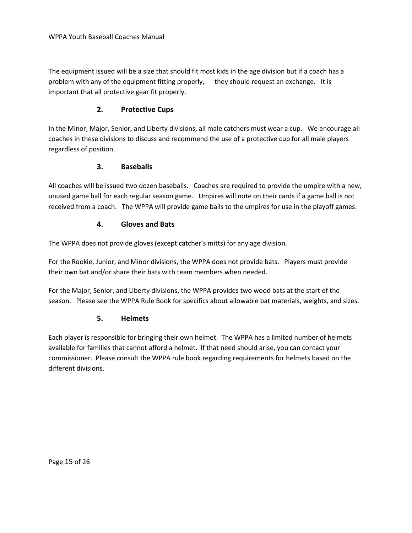The equipment issued will be a size that should fit most kids in the age division but if a coach has a problem with any of the equipment fitting properly, they should request an exchange. It is important that all protective gear fit properly.

#### **2. Protective Cups**

<span id="page-14-0"></span>In the Minor, Major, Senior, and Liberty divisions, all male catchers must wear a cup. We encourage all coaches in these divisions to discuss and recommend the use of a protective cup for all male players regardless of position.

#### **3. Baseballs**

<span id="page-14-1"></span>All coaches will be issued two dozen baseballs. Coaches are required to provide the umpire with a new, unused game ball for each regular season game. Umpires will note on their cards if a game ball is not received from a coach. The WPPA will provide game balls to the umpires for use in the playoff games.

#### **4. Gloves and Bats**

<span id="page-14-2"></span>The WPPA does not provide gloves (except catcher's mitts) for any age division.

For the Rookie, Junior, and Minor divisions, the WPPA does not provide bats. Players must provide their own bat and/or share their bats with team members when needed.

For the Major, Senior, and Liberty divisions, the WPPA provides two wood bats at the start of the season. Please see the WPPA Rule Book for specifics about allowable bat materials, weights, and sizes.

### **5. Helmets**

<span id="page-14-3"></span>Each player is responsible for bringing their own helmet. The WPPA has a limited number of helmets available for families that cannot afford a helmet. If that need should arise, you can contact your commissioner. Please consult the WPPA rule book regarding requirements for helmets based on the different divisions.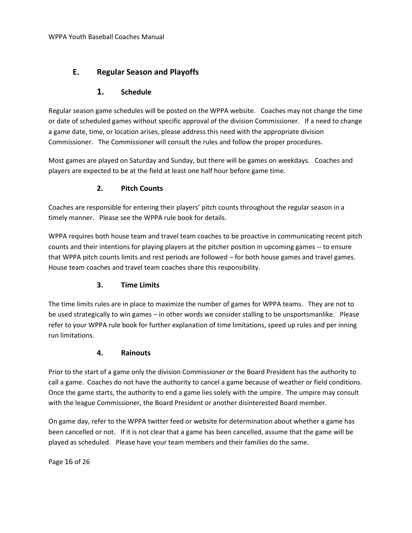# <span id="page-15-0"></span>**E. Regular Season and Playoffs**

### **1. Schedule**

<span id="page-15-1"></span>Regular season game schedules will be posted on the WPPA website. Coaches may not change the time or date of scheduled games without specific approval of the division Commissioner. If a need to change a game date, time, or location arises, please address this need with the appropriate division Commissioner. The Commissioner will consult the rules and follow the proper procedures.

Most games are played on Saturday and Sunday, but there will be games on weekdays. Coaches and players are expected to be at the field at least one half hour before game time.

### **2. Pitch Counts**

<span id="page-15-2"></span>Coaches are responsible for entering their players' pitch counts throughout the regular season in a timely manner. Please see the WPPA rule book for details.

WPPA requires both house team and travel team coaches to be proactive in communicating recent pitch counts and their intentions for playing players at the pitcher position in upcoming games -- to ensure that WPPA pitch counts limits and rest periods are followed – for both house games and travel games. House team coaches and travel team coaches share this responsibility.

#### **3. Time Limits**

<span id="page-15-3"></span>The time limits rules are in place to maximize the number of games for WPPA teams. They are not to be used strategically to win games – in other words we consider stalling to be unsportsmanlike. Please refer to your WPPA rule book for further explanation of time limitations, speed up rules and per inning run limitations.

#### **4. Rainouts**

<span id="page-15-4"></span>Prior to the start of a game only the division Commissioner or the Board President has the authority to call a game. Coaches do not have the authority to cancel a game because of weather or field conditions. Once the game starts, the authority to end a game lies solely with the umpire. The umpire may consult with the league Commissioner, the Board President or another disinterested Board member.

On game day, refer to the WPPA twitter feed or website for determination about whether a game has been cancelled or not. If it is not clear that a game has been cancelled, assume that the game will be played as scheduled. Please have your team members and their families do the same.

Page 16 of 26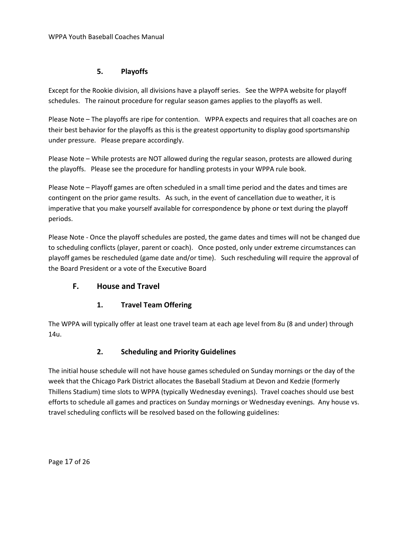#### **5. Playoffs**

<span id="page-16-0"></span>Except for the Rookie division, all divisions have a playoff series. See the WPPA website for playoff schedules. The rainout procedure for regular season games applies to the playoffs as well.

Please Note – The playoffs are ripe for contention. WPPA expects and requires that all coaches are on their best behavior for the playoffs as this is the greatest opportunity to display good sportsmanship under pressure. Please prepare accordingly.

Please Note – While protests are NOT allowed during the regular season, protests are allowed during the playoffs. Please see the procedure for handling protests in your WPPA rule book.

Please Note – Playoff games are often scheduled in a small time period and the dates and times are contingent on the prior game results. As such, in the event of cancellation due to weather, it is imperative that you make yourself available for correspondence by phone or text during the playoff periods.

Please Note - Once the playoff schedules are posted, the game dates and times will not be changed due to scheduling conflicts (player, parent or coach). Once posted, only under extreme circumstances can playoff games be rescheduled (game date and/or time). Such rescheduling will require the approval of the Board President or a vote of the Executive Board

### <span id="page-16-1"></span>**F. House and Travel**

### **1. Travel Team Offering**

<span id="page-16-2"></span>The WPPA will typically offer at least one travel team at each age level from 8u (8 and under) through 14u.

### **2. Scheduling and Priority Guidelines**

<span id="page-16-3"></span>The initial house schedule will not have house games scheduled on Sunday mornings or the day of the week that the Chicago Park District allocates the Baseball Stadium at Devon and Kedzie (formerly Thillens Stadium) time slots to WPPA (typically Wednesday evenings). Travel coaches should use best efforts to schedule all games and practices on Sunday mornings or Wednesday evenings. Any house vs. travel scheduling conflicts will be resolved based on the following guidelines: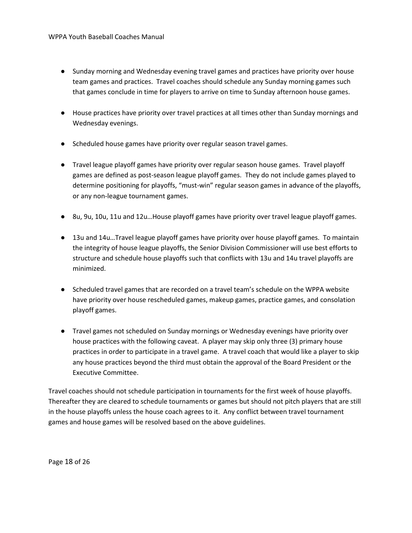- Sunday morning and Wednesday evening travel games and practices have priority over house team games and practices. Travel coaches should schedule any Sunday morning games such that games conclude in time for players to arrive on time to Sunday afternoon house games.
- House practices have priority over travel practices at all times other than Sunday mornings and Wednesday evenings.
- Scheduled house games have priority over regular season travel games.
- Travel league playoff games have priority over regular season house games. Travel playoff games are defined as post-season league playoff games. They do not include games played to determine positioning for playoffs, "must-win" regular season games in advance of the playoffs, or any non-league tournament games.
- 8u, 9u, 10u, 11u and 12u...House playoff games have priority over travel league playoff games.
- 13u and 14u…Travel league playoff games have priority over house playoff games. To maintain the integrity of house league playoffs, the Senior Division Commissioner will use best efforts to structure and schedule house playoffs such that conflicts with 13u and 14u travel playoffs are minimized.
- Scheduled travel games that are recorded on a travel team's schedule on the WPPA website have priority over house rescheduled games, makeup games, practice games, and consolation playoff games.
- Travel games not scheduled on Sunday mornings or Wednesday evenings have priority over house practices with the following caveat. A player may skip only three (3) primary house practices in order to participate in a travel game. A travel coach that would like a player to skip any house practices beyond the third must obtain the approval of the Board President or the Executive Committee.

Travel coaches should not schedule participation in tournaments for the first week of house playoffs. Thereafter they are cleared to schedule tournaments or games but should not pitch players that are still in the house playoffs unless the house coach agrees to it. Any conflict between travel tournament games and house games will be resolved based on the above guidelines.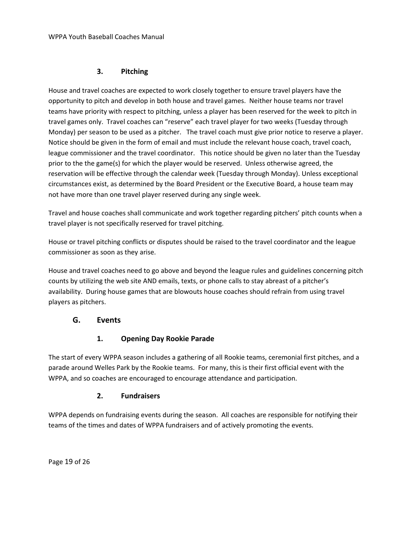#### **3. Pitching**

<span id="page-18-0"></span>House and travel coaches are expected to work closely together to ensure travel players have the opportunity to pitch and develop in both house and travel games. Neither house teams nor travel teams have priority with respect to pitching, unless a player has been reserved for the week to pitch in travel games only. Travel coaches can "reserve" each travel player for two weeks (Tuesday through Monday) per season to be used as a pitcher. The travel coach must give prior notice to reserve a player. Notice should be given in the form of email and must include the relevant house coach, travel coach, league commissioner and the travel coordinator. This notice should be given no later than the Tuesday prior to the the game(s) for which the player would be reserved. Unless otherwise agreed, the reservation will be effective through the calendar week (Tuesday through Monday). Unless exceptional circumstances exist, as determined by the Board President or the Executive Board, a house team may not have more than one travel player reserved during any single week.

Travel and house coaches shall communicate and work together regarding pitchers' pitch counts when a travel player is not specifically reserved for travel pitching.

House or travel pitching conflicts or disputes should be raised to the travel coordinator and the league commissioner as soon as they arise.

House and travel coaches need to go above and beyond the league rules and guidelines concerning pitch counts by utilizing the web site AND emails, texts, or phone calls to stay abreast of a pitcher's availability. During house games that are blowouts house coaches should refrain from using travel players as pitchers.

### <span id="page-18-1"></span>**G. Events**

### **1. Opening Day Rookie Parade**

<span id="page-18-2"></span>The start of every WPPA season includes a gathering of all Rookie teams, ceremonial first pitches, and a parade around Welles Park by the Rookie teams. For many, this is their first official event with the WPPA, and so coaches are encouraged to encourage attendance and participation.

### **2. Fundraisers**

<span id="page-18-3"></span>WPPA depends on fundraising events during the season. All coaches are responsible for notifying their teams of the times and dates of WPPA fundraisers and of actively promoting the events.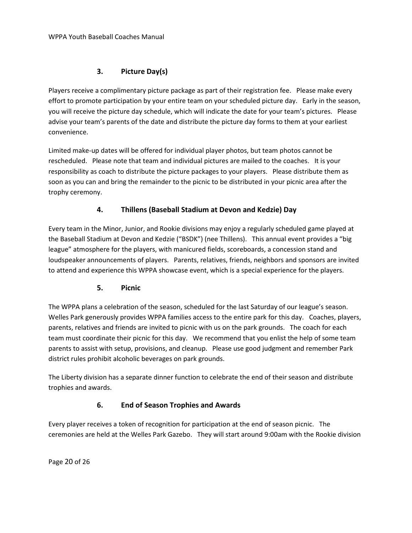### **3. Picture Day(s)**

<span id="page-19-0"></span>Players receive a complimentary picture package as part of their registration fee. Please make every effort to promote participation by your entire team on your scheduled picture day. Early in the season, you will receive the picture day schedule, which will indicate the date for your team's pictures. Please advise your team's parents of the date and distribute the picture day forms to them at your earliest convenience.

Limited make-up dates will be offered for individual player photos, but team photos cannot be rescheduled. Please note that team and individual pictures are mailed to the coaches. It is your responsibility as coach to distribute the picture packages to your players. Please distribute them as soon as you can and bring the remainder to the picnic to be distributed in your picnic area after the trophy ceremony.

### **4. Thillens (Baseball Stadium at Devon and Kedzie) Day**

<span id="page-19-1"></span>Every team in the Minor, Junior, and Rookie divisions may enjoy a regularly scheduled game played at the Baseball Stadium at Devon and Kedzie ("BSDK") (nee Thillens). This annual event provides a "big league" atmosphere for the players, with manicured fields, scoreboards, a concession stand and loudspeaker announcements of players. Parents, relatives, friends, neighbors and sponsors are invited to attend and experience this WPPA showcase event, which is a special experience for the players.

### **5. Picnic**

<span id="page-19-2"></span>The WPPA plans a celebration of the season, scheduled for the last Saturday of our league's season. Welles Park generously provides WPPA families access to the entire park for this day. Coaches, players, parents, relatives and friends are invited to picnic with us on the park grounds. The coach for each team must coordinate their picnic for this day. We recommend that you enlist the help of some team parents to assist with setup, provisions, and cleanup. Please use good judgment and remember Park district rules prohibit alcoholic beverages on park grounds.

The Liberty division has a separate dinner function to celebrate the end of their season and distribute trophies and awards.

### **6. End of Season Trophies and Awards**

Every player receives a token of recognition for participation at the end of season picnic. The ceremonies are held at the Welles Park Gazebo. They will start around 9:00am with the Rookie division

Page 20 of 26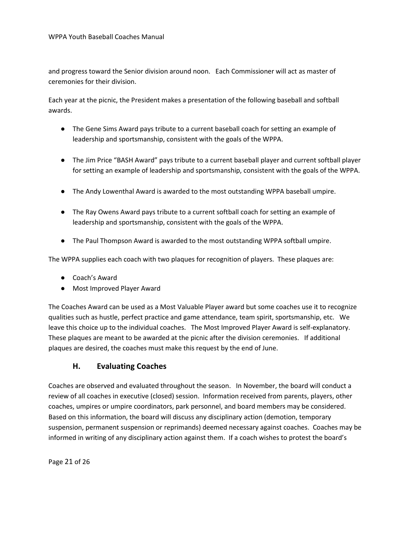and progress toward the Senior division around noon. Each Commissioner will act as master of ceremonies for their division.

Each year at the picnic, the President makes a presentation of the following baseball and softball awards.

- The Gene Sims Award pays tribute to a current baseball coach for setting an example of leadership and sportsmanship, consistent with the goals of the WPPA.
- The Jim Price "BASH Award" pays tribute to a current baseball player and current softball player for setting an example of leadership and sportsmanship, consistent with the goals of the WPPA.
- The Andy Lowenthal Award is awarded to the most outstanding WPPA baseball umpire.
- The Ray Owens Award pays tribute to a current softball coach for setting an example of leadership and sportsmanship, consistent with the goals of the WPPA.
- The Paul Thompson Award is awarded to the most outstanding WPPA softball umpire.

The WPPA supplies each coach with two plaques for recognition of players. These plaques are:

- Coach's Award
- Most Improved Player Award

The Coaches Award can be used as a Most Valuable Player award but some coaches use it to recognize qualities such as hustle, perfect practice and game attendance, team spirit, sportsmanship, etc. We leave this choice up to the individual coaches. The Most Improved Player Award is self-explanatory. These plaques are meant to be awarded at the picnic after the division ceremonies. If additional plaques are desired, the coaches must make this request by the end of June.

### **H. Evaluating Coaches**

<span id="page-20-0"></span>Coaches are observed and evaluated throughout the season. In November, the board will conduct a review of all coaches in executive (closed) session. Information received from parents, players, other coaches, umpires or umpire coordinators, park personnel, and board members may be considered. Based on this information, the board will discuss any disciplinary action (demotion, temporary suspension, permanent suspension or reprimands) deemed necessary against coaches. Coaches may be informed in writing of any disciplinary action against them. If a coach wishes to protest the board's

Page 21 of 26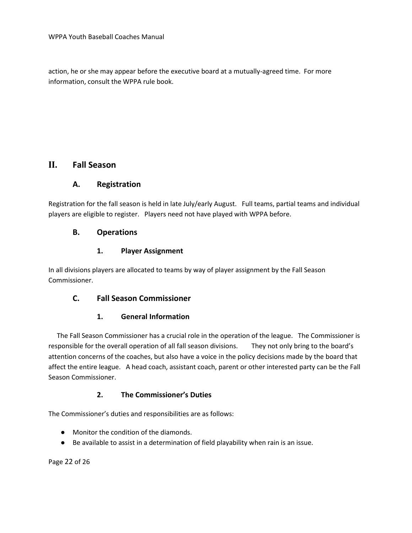action, he or she may appear before the executive board at a mutually-agreed time. For more information, consult the WPPA rule book.

# <span id="page-21-1"></span><span id="page-21-0"></span>**II. Fall Season**

#### **A. Registration**

Registration for the fall season is held in late July/early August. Full teams, partial teams and individual players are eligible to register. Players need not have played with WPPA before.

#### <span id="page-21-2"></span>**B. Operations**

#### **1. Player Assignment**

<span id="page-21-3"></span>In all divisions players are allocated to teams by way of player assignment by the Fall Season Commissioner.

### <span id="page-21-4"></span>**C. Fall Season Commissioner**

### **1. General Information**

<span id="page-21-5"></span> The Fall Season Commissioner has a crucial role in the operation of the league. The Commissioner is responsible for the overall operation of all fall season divisions. They not only bring to the board's attention concerns of the coaches, but also have a voice in the policy decisions made by the board that affect the entire league. A head coach, assistant coach, parent or other interested party can be the Fall Season Commissioner.

### **2. The Commissioner's Duties**

<span id="page-21-6"></span>The Commissioner's duties and responsibilities are as follows:

- Monitor the condition of the diamonds.
- Be available to assist in a determination of field playability when rain is an issue.

Page 22 of 26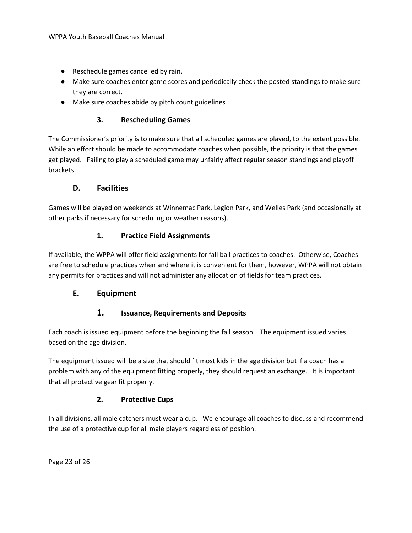- Reschedule games cancelled by rain.
- Make sure coaches enter game scores and periodically check the posted standings to make sure they are correct.
- Make sure coaches abide by pitch count guidelines

#### **3. Rescheduling Games**

<span id="page-22-0"></span>The Commissioner's priority is to make sure that all scheduled games are played, to the extent possible. While an effort should be made to accommodate coaches when possible, the priority is that the games get played. Failing to play a scheduled game may unfairly affect regular season standings and playoff brackets.

#### **D. Facilities**

<span id="page-22-1"></span>Games will be played on weekends at Winnemac Park, Legion Park, and Welles Park (and occasionally at other parks if necessary for scheduling or weather reasons).

#### **1. Practice Field Assignments**

<span id="page-22-2"></span>If available, the WPPA will offer field assignments for fall ball practices to coaches. Otherwise, Coaches are free to schedule practices when and where it is convenient for them, however, WPPA will not obtain any permits for practices and will not administer any allocation of fields for team practices.

### <span id="page-22-4"></span><span id="page-22-3"></span>**E. Equipment**

#### **1. Issuance, Requirements and Deposits**

Each coach is issued equipment before the beginning the fall season. The equipment issued varies based on the age division.

The equipment issued will be a size that should fit most kids in the age division but if a coach has a problem with any of the equipment fitting properly, they should request an exchange. It is important that all protective gear fit properly.

#### **2. Protective Cups**

<span id="page-22-5"></span>In all divisions, all male catchers must wear a cup. We encourage all coaches to discuss and recommend the use of a protective cup for all male players regardless of position.

Page 23 of 26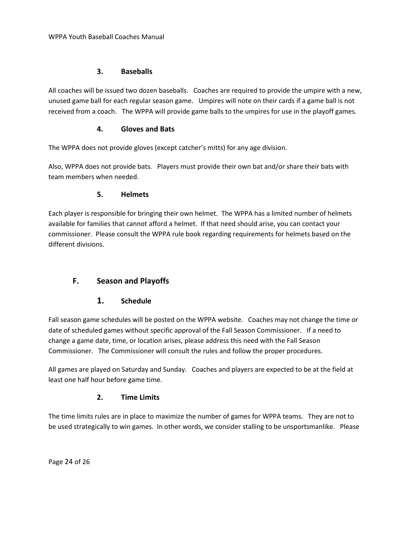#### **3. Baseballs**

<span id="page-23-0"></span>All coaches will be issued two dozen baseballs. Coaches are required to provide the umpire with a new, unused game ball for each regular season game. Umpires will note on their cards if a game ball is not received from a coach. The WPPA will provide game balls to the umpires for use in the playoff games.

#### **4. Gloves and Bats**

<span id="page-23-1"></span>The WPPA does not provide gloves (except catcher's mitts) for any age division.

Also, WPPA does not provide bats. Players must provide their own bat and/or share their bats with team members when needed.

#### **5. Helmets**

<span id="page-23-2"></span>Each player is responsible for bringing their own helmet. The WPPA has a limited number of helmets available for families that cannot afford a helmet. If that need should arise, you can contact your commissioner. Please consult the WPPA rule book regarding requirements for helmets based on the different divisions.

### <span id="page-23-4"></span><span id="page-23-3"></span>**F. Season and Playoffs**

#### **1. Schedule**

Fall season game schedules will be posted on the WPPA website. Coaches may not change the time or date of scheduled games without specific approval of the Fall Season Commissioner. If a need to change a game date, time, or location arises, please address this need with the Fall Season Commissioner. The Commissioner will consult the rules and follow the proper procedures.

All games are played on Saturday and Sunday. Coaches and players are expected to be at the field at least one half hour before game time.

#### **2. Time Limits**

<span id="page-23-5"></span>The time limits rules are in place to maximize the number of games for WPPA teams. They are not to be used strategically to win games. In other words, we consider stalling to be unsportsmanlike. Please

Page 24 of 26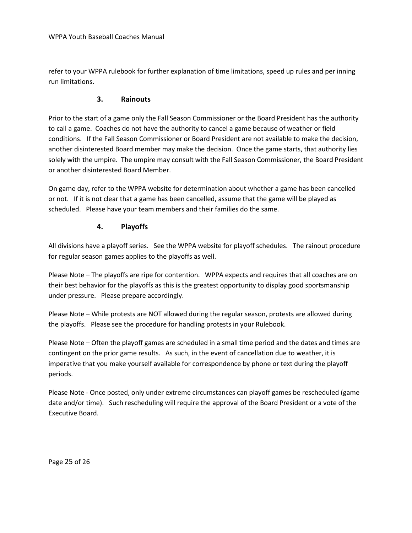refer to your WPPA rulebook for further explanation of time limitations, speed up rules and per inning run limitations.

#### **3. Rainouts**

<span id="page-24-0"></span>Prior to the start of a game only the Fall Season Commissioner or the Board President has the authority to call a game. Coaches do not have the authority to cancel a game because of weather or field conditions. If the Fall Season Commissioner or Board President are not available to make the decision, another disinterested Board member may make the decision. Once the game starts, that authority lies solely with the umpire. The umpire may consult with the Fall Season Commissioner, the Board President or another disinterested Board Member.

On game day, refer to the WPPA website for determination about whether a game has been cancelled or not. If it is not clear that a game has been cancelled, assume that the game will be played as scheduled. Please have your team members and their families do the same.

#### **4. Playoffs**

<span id="page-24-1"></span>All divisions have a playoff series. See the WPPA website for playoff schedules. The rainout procedure for regular season games applies to the playoffs as well.

Please Note – The playoffs are ripe for contention. WPPA expects and requires that all coaches are on their best behavior for the playoffs as this is the greatest opportunity to display good sportsmanship under pressure. Please prepare accordingly.

Please Note – While protests are NOT allowed during the regular season, protests are allowed during the playoffs. Please see the procedure for handling protests in your Rulebook.

Please Note – Often the playoff games are scheduled in a small time period and the dates and times are contingent on the prior game results. As such, in the event of cancellation due to weather, it is imperative that you make yourself available for correspondence by phone or text during the playoff periods.

Please Note - Once posted, only under extreme circumstances can playoff games be rescheduled (game date and/or time). Such rescheduling will require the approval of the Board President or a vote of the Executive Board.

Page 25 of 26